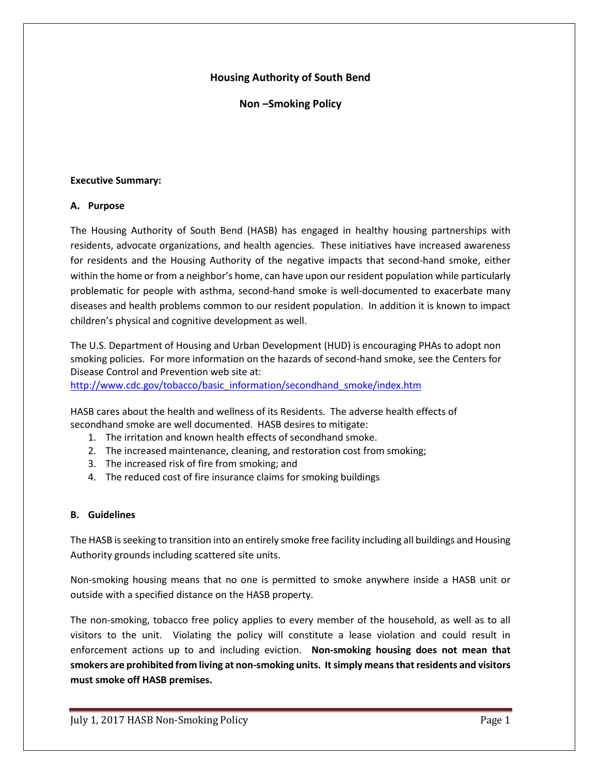## **Housing Authority of South Bend**

**Non –Smoking Policy**

### **Executive Summary:**

### **A. Purpose**

The Housing Authority of South Bend (HASB) has engaged in healthy housing partnerships with residents, advocate organizations, and health agencies. These initiatives have increased awareness for residents and the Housing Authority of the negative impacts that second-hand smoke, either within the home or from a neighbor's home, can have upon our resident population while particularly problematic for people with asthma, second-hand smoke is well-documented to exacerbate many diseases and health problems common to our resident population. In addition it is known to impact children's physical and cognitive development as well.

The U.S. Department of Housing and Urban Development (HUD) is encouraging PHAs to adopt non smoking policies. For more information on the hazards of second-hand smoke, see the Centers for Disease Control and Prevention web site at:

[http://www.cdc.gov/tobacco/basic\\_information/secondhand\\_smoke/index.htm](http://www.cdc.gov/tobacco/basic_information/secondhand_smoke/index.htm)

HASB cares about the health and wellness of its Residents. The adverse health effects of secondhand smoke are well documented. HASB desires to mitigate:

- 1. The irritation and known health effects of secondhand smoke.
- 2. The increased maintenance, cleaning, and restoration cost from smoking;
- 3. The increased risk of fire from smoking; and
- 4. The reduced cost of fire insurance claims for smoking buildings

## **B. Guidelines**

The HASB is seeking to transition into an entirely smoke free facility including all buildings and Housing Authority grounds including scattered site units.

Non-smoking housing means that no one is permitted to smoke anywhere inside a HASB unit or outside with a specified distance on the HASB property.

The non-smoking, tobacco free policy applies to every member of the household, as well as to all visitors to the unit. Violating the policy will constitute a lease violation and could result in enforcement actions up to and including eviction. **Non-smoking housing does not mean that smokers are prohibited from living at non-smoking units. It simply means that residents and visitors must smoke off HASB premises.**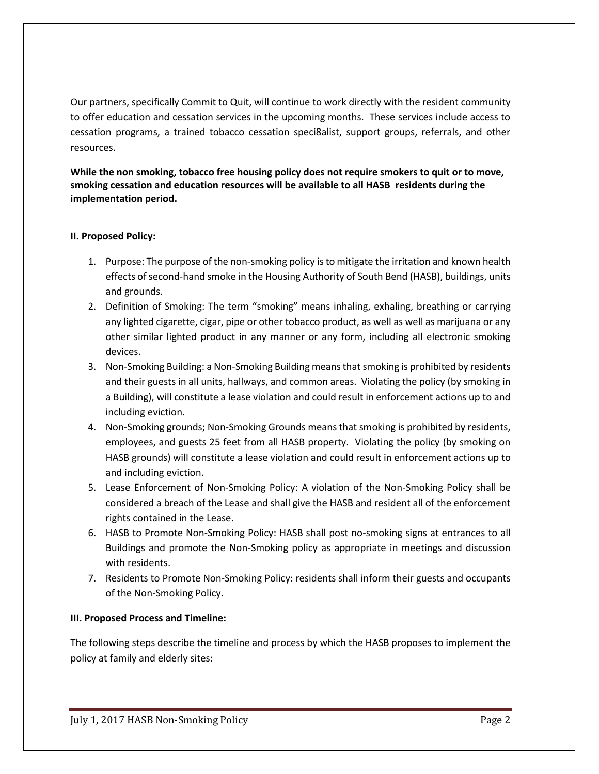Our partners, specifically Commit to Quit, will continue to work directly with the resident community to offer education and cessation services in the upcoming months. These services include access to cessation programs, a trained tobacco cessation speci8alist, support groups, referrals, and other resources.

**While the non smoking, tobacco free housing policy does not require smokers to quit or to move, smoking cessation and education resources will be available to all HASB residents during the implementation period.**

## **II. Proposed Policy:**

- 1. Purpose: The purpose of the non-smoking policy is to mitigate the irritation and known health effects of second-hand smoke in the Housing Authority of South Bend (HASB), buildings, units and grounds.
- 2. Definition of Smoking: The term "smoking" means inhaling, exhaling, breathing or carrying any lighted cigarette, cigar, pipe or other tobacco product, as well as well as marijuana or any other similar lighted product in any manner or any form, including all electronic smoking devices.
- 3. Non-Smoking Building: a Non-Smoking Building means that smoking is prohibited by residents and their guests in all units, hallways, and common areas. Violating the policy (by smoking in a Building), will constitute a lease violation and could result in enforcement actions up to and including eviction.
- 4. Non-Smoking grounds; Non-Smoking Grounds means that smoking is prohibited by residents, employees, and guests 25 feet from all HASB property. Violating the policy (by smoking on HASB grounds) will constitute a lease violation and could result in enforcement actions up to and including eviction.
- 5. Lease Enforcement of Non-Smoking Policy: A violation of the Non-Smoking Policy shall be considered a breach of the Lease and shall give the HASB and resident all of the enforcement rights contained in the Lease.
- 6. HASB to Promote Non-Smoking Policy: HASB shall post no-smoking signs at entrances to all Buildings and promote the Non-Smoking policy as appropriate in meetings and discussion with residents.
- 7. Residents to Promote Non-Smoking Policy: residents shall inform their guests and occupants of the Non-Smoking Policy.

### **III. Proposed Process and Timeline:**

The following steps describe the timeline and process by which the HASB proposes to implement the policy at family and elderly sites: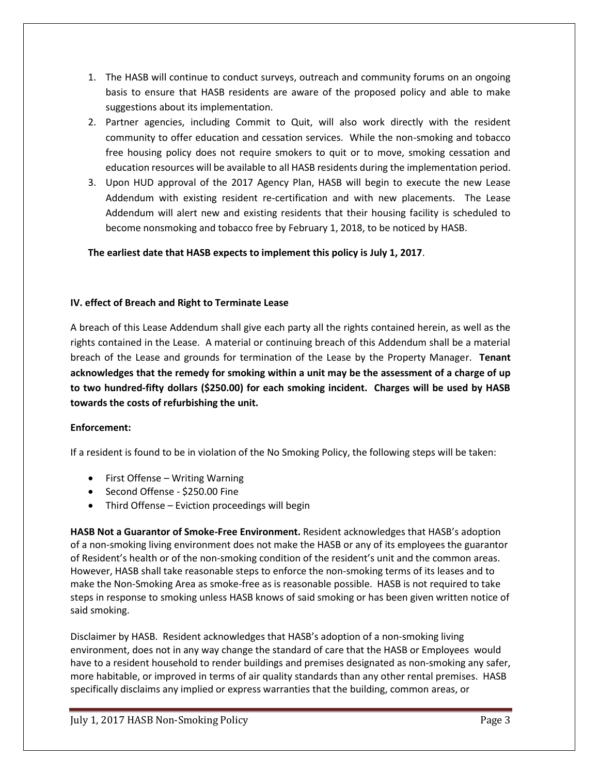- 1. The HASB will continue to conduct surveys, outreach and community forums on an ongoing basis to ensure that HASB residents are aware of the proposed policy and able to make suggestions about its implementation.
- 2. Partner agencies, including Commit to Quit, will also work directly with the resident community to offer education and cessation services. While the non-smoking and tobacco free housing policy does not require smokers to quit or to move, smoking cessation and education resources will be available to all HASB residents during the implementation period.
- 3. Upon HUD approval of the 2017 Agency Plan, HASB will begin to execute the new Lease Addendum with existing resident re-certification and with new placements. The Lease Addendum will alert new and existing residents that their housing facility is scheduled to become nonsmoking and tobacco free by February 1, 2018, to be noticed by HASB.

**The earliest date that HASB expects to implement this policy is July 1, 2017**.

## **IV. effect of Breach and Right to Terminate Lease**

A breach of this Lease Addendum shall give each party all the rights contained herein, as well as the rights contained in the Lease. A material or continuing breach of this Addendum shall be a material breach of the Lease and grounds for termination of the Lease by the Property Manager. **Tenant acknowledges that the remedy for smoking within a unit may be the assessment of a charge of up to two hundred-fifty dollars (\$250.00) for each smoking incident. Charges will be used by HASB towards the costs of refurbishing the unit.**

## **Enforcement:**

If a resident is found to be in violation of the No Smoking Policy, the following steps will be taken:

- First Offense Writing Warning
- Second Offense \$250.00 Fine
- Third Offense Eviction proceedings will begin

**HASB Not a Guarantor of Smoke-Free Environment.** Resident acknowledges that HASB's adoption of a non-smoking living environment does not make the HASB or any of its employees the guarantor of Resident's health or of the non-smoking condition of the resident's unit and the common areas. However, HASB shall take reasonable steps to enforce the non-smoking terms of its leases and to make the Non-Smoking Area as smoke-free as is reasonable possible. HASB is not required to take steps in response to smoking unless HASB knows of said smoking or has been given written notice of said smoking.

Disclaimer by HASB. Resident acknowledges that HASB's adoption of a non-smoking living environment, does not in any way change the standard of care that the HASB or Employees would have to a resident household to render buildings and premises designated as non-smoking any safer, more habitable, or improved in terms of air quality standards than any other rental premises. HASB specifically disclaims any implied or express warranties that the building, common areas, or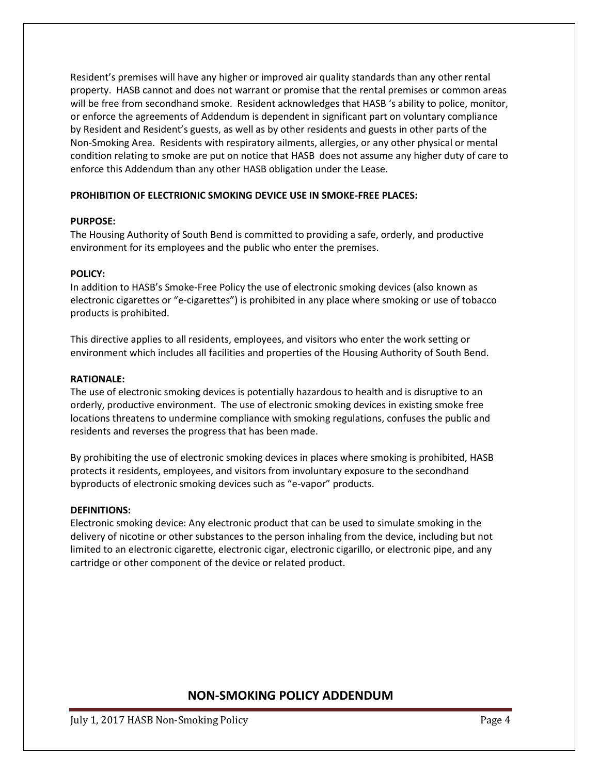Resident's premises will have any higher or improved air quality standards than any other rental property. HASB cannot and does not warrant or promise that the rental premises or common areas will be free from secondhand smoke. Resident acknowledges that HASB 's ability to police, monitor, or enforce the agreements of Addendum is dependent in significant part on voluntary compliance by Resident and Resident's guests, as well as by other residents and guests in other parts of the Non-Smoking Area. Residents with respiratory ailments, allergies, or any other physical or mental condition relating to smoke are put on notice that HASB does not assume any higher duty of care to enforce this Addendum than any other HASB obligation under the Lease.

### **PROHIBITION OF ELECTRIONIC SMOKING DEVICE USE IN SMOKE-FREE PLACES:**

### **PURPOSE:**

The Housing Authority of South Bend is committed to providing a safe, orderly, and productive environment for its employees and the public who enter the premises.

### **POLICY:**

In addition to HASB's Smoke-Free Policy the use of electronic smoking devices (also known as electronic cigarettes or "e-cigarettes") is prohibited in any place where smoking or use of tobacco products is prohibited.

This directive applies to all residents, employees, and visitors who enter the work setting or environment which includes all facilities and properties of the Housing Authority of South Bend.

### **RATIONALE:**

The use of electronic smoking devices is potentially hazardous to health and is disruptive to an orderly, productive environment. The use of electronic smoking devices in existing smoke free locations threatens to undermine compliance with smoking regulations, confuses the public and residents and reverses the progress that has been made.

By prohibiting the use of electronic smoking devices in places where smoking is prohibited, HASB protects it residents, employees, and visitors from involuntary exposure to the secondhand byproducts of electronic smoking devices such as "e-vapor" products.

### **DEFINITIONS:**

Electronic smoking device: Any electronic product that can be used to simulate smoking in the delivery of nicotine or other substances to the person inhaling from the device, including but not limited to an electronic cigarette, electronic cigar, electronic cigarillo, or electronic pipe, and any cartridge or other component of the device or related product.

# **NON-SMOKING POLICY ADDENDUM**